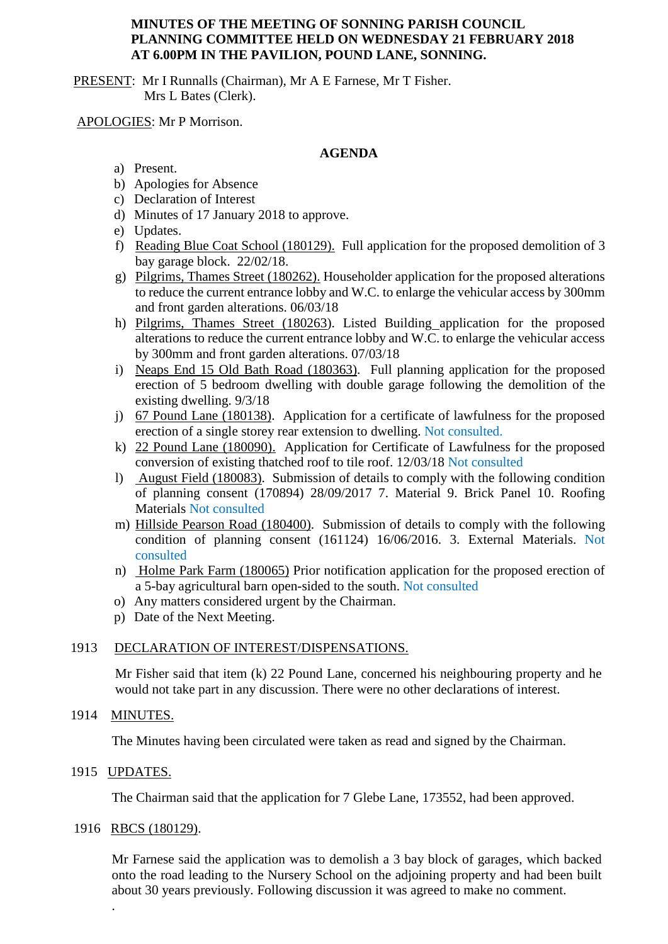## **MINUTES OF THE MEETING OF SONNING PARISH COUNCIL PLANNING COMMITTEE HELD ON WEDNESDAY 21 FEBRUARY 2018 AT 6.00PM IN THE PAVILION, POUND LANE, SONNING.**

PRESENT: Mr I Runnalls (Chairman), Mr A E Farnese, Mr T Fisher. Mrs L Bates (Clerk).

APOLOGIES: Mr P Morrison.

## **AGENDA**

- a) Present.
- b) Apologies for Absence
- c) Declaration of Interest
- d) Minutes of 17 January 2018 to approve.
- e) Updates.
- f) Reading Blue Coat School (180129). Full application for the proposed demolition of 3 bay garage block. 22/02/18.
- g) Pilgrims, Thames Street (180262). Householder application for the proposed alterations to reduce the current entrance lobby and W.C. to enlarge the vehicular access by 300mm and front garden alterations. 06/03/18
- h) Pilgrims, Thames Street (180263). Listed Building application for the proposed alterations to reduce the current entrance lobby and W.C. to enlarge the vehicular access by 300mm and front garden alterations. 07/03/18
- i) Neaps End 15 Old Bath Road (180363). Full planning application for the proposed erection of 5 bedroom dwelling with double garage following the demolition of the existing dwelling. 9/3/18
- j) 67 Pound Lane (180138). Application for a certificate of lawfulness for the proposed erection of a single storey rear extension to dwelling. Not consulted.
- k) 22 Pound Lane (180090). Application for Certificate of Lawfulness for the proposed conversion of existing thatched roof to tile roof. 12/03/18 Not consulted
- l) August Field (180083). Submission of details to comply with the following condition of planning consent (170894) 28/09/2017 7. Material 9. Brick Panel 10. Roofing Materials Not consulted
- m) Hillside Pearson Road (180400). Submission of details to comply with the following condition of planning consent (161124) 16/06/2016. 3. External Materials. Not consulted
- n) Holme Park Farm (180065) Prior notification application for the proposed erection of a 5-bay agricultural barn open-sided to the south. Not consulted
- o) Any matters considered urgent by the Chairman.
- p) Date of the Next Meeting.

# 1913 DECLARATION OF INTEREST/DISPENSATIONS.

Mr Fisher said that item (k) 22 Pound Lane, concerned his neighbouring property and he would not take part in any discussion. There were no other declarations of interest.

#### 1914 MINUTES.

The Minutes having been circulated were taken as read and signed by the Chairman.

#### 1915 UPDATES.

.

The Chairman said that the application for 7 Glebe Lane, 173552, had been approved.

#### 1916 RBCS (180129).

Mr Farnese said the application was to demolish a 3 bay block of garages, which backed onto the road leading to the Nursery School on the adjoining property and had been built about 30 years previously. Following discussion it was agreed to make no comment.